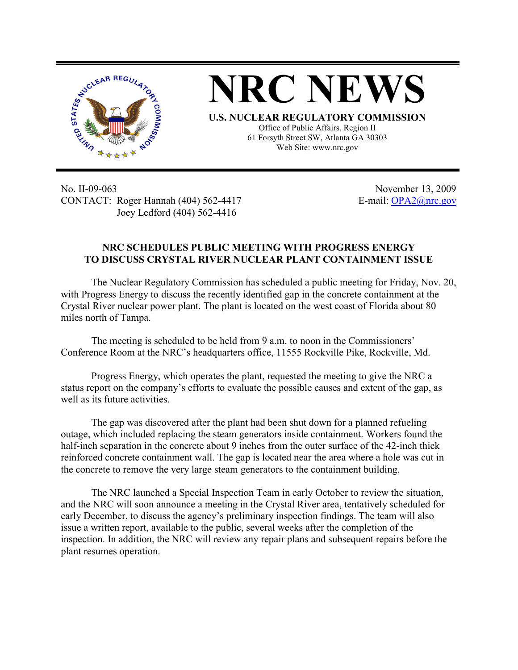

**NRC NEWS**

**U.S. NUCLEAR REGULATORY COMMISSION** Office of Public Affairs, Region II 61 Forsyth Street SW, Atlanta GA 30303 Web Site: www.nrc.gov

No. II-09-063 November 13, 2009 CONTACT: Roger Hannah (404) 562-4417 E-mail: OPA2@nrc.gov Joey Ledford (404) 562-4416

## **NRC SCHEDULES PUBLIC MEETING WITH PROGRESS ENERGY TO DISCUSS CRYSTAL RIVER NUCLEAR PLANT CONTAINMENT ISSUE**

The Nuclear Regulatory Commission has scheduled a public meeting for Friday, Nov. 20, with Progress Energy to discuss the recently identified gap in the concrete containment at the Crystal River nuclear power plant. The plant is located on the west coast of Florida about 80 miles north of Tampa.

The meeting is scheduled to be held from 9 a.m. to noon in the Commissioners' Conference Room at the NRC's headquarters office, 11555 Rockville Pike, Rockville, Md.

Progress Energy, which operates the plant, requested the meeting to give the NRC a status report on the company's efforts to evaluate the possible causes and extent of the gap, as well as its future activities.

The gap was discovered after the plant had been shut down for a planned refueling outage, which included replacing the steam generators inside containment. Workers found the half-inch separation in the concrete about 9 inches from the outer surface of the 42-inch thick reinforced concrete containment wall. The gap is located near the area where a hole was cut in the concrete to remove the very large steam generators to the containment building.

The NRC launched a Special Inspection Team in early October to review the situation, and the NRC will soon announce a meeting in the Crystal River area, tentatively scheduled for early December, to discuss the agency's preliminary inspection findings. The team will also issue a written report, available to the public, several weeks after the completion of the inspection. In addition, the NRC will review any repair plans and subsequent repairs before the plant resumes operation.